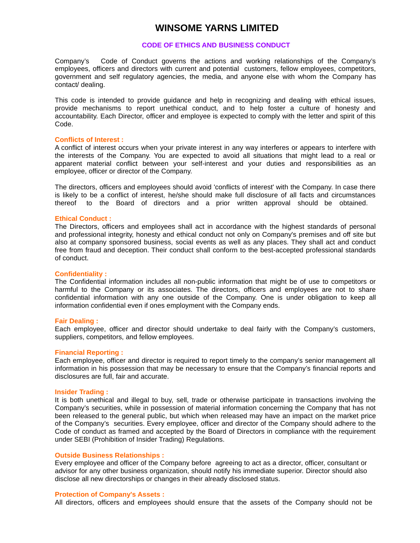# **WINSOME YARNS LIMITED**

## **CODE OF ETHICS AND BUSINESS CONDUCT**

Company's Code of Conduct governs the actions and working relationships of the Company's employees, officers and directors with current and potential customers, fellow employees, competitors, government and self regulatory agencies, the media, and anyone else with whom the Company has contact/ dealing.

This code is intended to provide guidance and help in recognizing and dealing with ethical issues, provide mechanisms to report unethical conduct, and to help foster a culture of honesty and accountability. Each Director, officer and employee is expected to comply with the letter and spirit of this Code.

#### **Conflicts of Interest :**

A conflict of interest occurs when your private interest in any way interferes or appears to interfere with the interests of the Company. You are expected to avoid all situations that might lead to a real or apparent material conflict between your self-interest and your duties and responsibilities as an employee, officer or director of the Company.

The directors, officers and employees should avoid 'conflicts of interest' with the Company. In case there is likely to be a conflict of interest, he/she should make full disclosure of all facts and circumstances thereof to the Board of directors and a prior written approval should be obtained.

#### **Ethical Conduct :**

The Directors, officers and employees shall act in accordance with the highest standards of personal and professional integrity, honesty and ethical conduct not only on Company's premises and off site but also at company sponsored business, social events as well as any places. They shall act and conduct free from fraud and deception. Their conduct shall conform to the best-accepted professional standards of conduct.

#### **Confidentiality :**

The Confidential information includes all non-public information that might be of use to competitors or harmful to the Company or its associates. The directors, officers and employees are not to share confidential information with any one outside of the Company. One is under obligation to keep all information confidential even if ones employment with the Company ends.

#### **Fair Dealing :**

Each employee, officer and director should undertake to deal fairly with the Company's customers, suppliers, competitors, and fellow employees.

#### **Financial Reporting :**

Each employee, officer and director is required to report timely to the company's senior management all information in his possession that may be necessary to ensure that the Company's financial reports and disclosures are full, fair and accurate.

#### **Insider Trading :**

It is both unethical and illegal to buy, sell, trade or otherwise participate in transactions involving the Company's securities, while in possession of material information concerning the Company that has not been released to the general public, but which when released may have an impact on the market price of the Company's securities. Every employee, officer and director of the Company should adhere to the Code of conduct as framed and accepted by the Board of Directors in compliance with the requirement under SEBI (Prohibition of Insider Trading) Regulations.

#### **Outside Business Relationships :**

Every employee and officer of the Company before agreeing to act as a director, officer, consultant or advisor for any other business organization, should notify his immediate superior. Director should also disclose all new directorships or changes in their already disclosed status.

# **Protection of Company's Assets :**

All directors, officers and employees should ensure that the assets of the Company should not be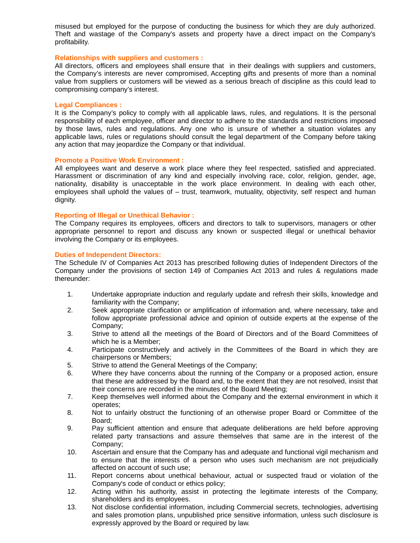misused but employed for the purpose of conducting the business for which they are duly authorized. Theft and wastage of the Company's assets and property have a direct impact on the Company's profitability.

# **Relationships with suppliers and customers :**

All directors, officers and employees shall ensure that in their dealings with suppliers and customers, the Company's interests are never compromised, Accepting gifts and presents of more than a nominal value from suppliers or customers will be viewed as a serious breach of discipline as this could lead to compromising company's interest.

# **Legal Compliances :**

It is the Company's policy to comply with all applicable laws, rules, and regulations. It is the personal responsibility of each employee, officer and director to adhere to the standards and restrictions imposed by those laws, rules and regulations. Any one who is unsure of whether a situation violates any applicable laws, rules or regulations should consult the legal department of the Company before taking any action that may jeopardize the Company or that individual.

# **Promote a Positive Work Environment :**

All employees want and deserve a work place where they feel respected, satisfied and appreciated. Harassment or discrimination of any kind and especially involving race, color, religion, gender, age, nationality, disability is unacceptable in the work place environment. In dealing with each other, employees shall uphold the values of – trust, teamwork, mutuality, objectivity, self respect and human dignity.

# **Reporting of Illegal or Unethical Behavior :**

The Company requires its employees, officers and directors to talk to supervisors, managers or other appropriate personnel to report and discuss any known or suspected illegal or unethical behavior involving the Company or its employees.

# **Duties of Independent Directors:**

The Schedule IV of Companies Act 2013 has prescribed following duties of Independent Directors of the Company under the provisions of section 149 of Companies Act 2013 and rules & regulations made thereunder:

- 1. Undertake appropriate induction and regularly update and refresh their skills, knowledge and familiarity with the Company;
- 2. Seek appropriate clarification or amplification of information and, where necessary, take and follow appropriate professional advice and opinion of outside experts at the expense of the Company;
- 3. Strive to attend all the meetings of the Board of Directors and of the Board Committees of which he is a Member;
- 4. Participate constructively and actively in the Committees of the Board in which they are chairpersons or Members;
- 5. Strive to attend the General Meetings of the Company;
- 6. Where they have concerns about the running of the Company or a proposed action, ensure that these are addressed by the Board and, to the extent that they are not resolved, insist that their concerns are recorded in the minutes of the Board Meeting;
- 7. Keep themselves well informed about the Company and the external environment in which it operates;
- 8. Not to unfairly obstruct the functioning of an otherwise proper Board or Committee of the Board;
- 9. Pay sufficient attention and ensure that adequate deliberations are held before approving related party transactions and assure themselves that same are in the interest of the Company;
- 10. Ascertain and ensure that the Company has and adequate and functional vigil mechanism and to ensure that the interests of a person who uses such mechanism are not prejudicially affected on account of such use;
- 11. Report concerns about unethical behaviour, actual or suspected fraud or violation of the Company's code of conduct or ethics policy;
- 12. Acting within his authority, assist in protecting the legitimate interests of the Company, shareholders and its employees.
- 13. Not disclose confidential information, including Commercial secrets, technologies, advertising and sales promotion plans, unpublished price sensitive information, unless such disclosure is expressly approved by the Board or required by law.